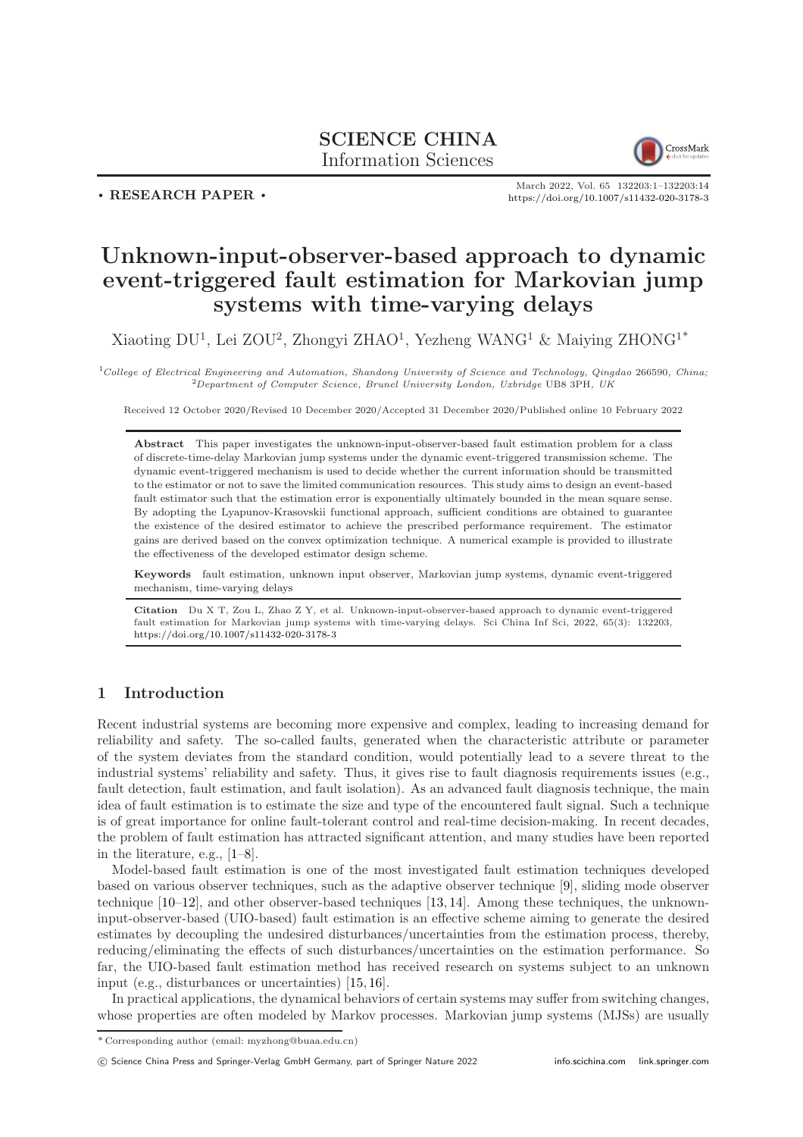## SCIENCE CHINA Information Sciences



. RESEARCH PAPER .

March 2022, Vol. 65 132203:1–132203[:14](#page-13-0) <https://doi.org/10.1007/s11432-020-3178-3>

# Unknown-input-observer-based approach to dynamic event-triggered fault estimation for Markovian jump systems with time-varying delays

Xiaoting DU<sup>1</sup>, Lei ZOU<sup>2</sup>, Zhongyi ZHAO<sup>1</sup>, Yezheng WANG<sup>1</sup> & Maiying ZHONG<sup>1\*</sup>

 $1$ College of Electrical Engineering and Automation, Shandong University of Science and Technology, Qingdao 266590, China; <sup>2</sup>Department of Computer Science, Brunel University London, Uxbridge UB8 3PH, UK

Received 12 October 2020/Revised 10 December 2020/Accepted 31 December 2020/Published online 10 February 2022

Abstract This paper investigates the unknown-input-observer-based fault estimation problem for a class of discrete-time-delay Markovian jump systems under the dynamic event-triggered transmission scheme. The dynamic event-triggered mechanism is used to decide whether the current information should be transmitted to the estimator or not to save the limited communication resources. This study aims to design an event-based fault estimator such that the estimation error is exponentially ultimately bounded in the mean square sense. By adopting the Lyapunov-Krasovskii functional approach, sufficient conditions are obtained to guarantee the existence of the desired estimator to achieve the prescribed performance requirement. The estimator gains are derived based on the convex optimization technique. A numerical example is provided to illustrate the effectiveness of the developed estimator design scheme.

Keywords fault estimation, unknown input observer, Markovian jump systems, dynamic event-triggered mechanism, time-varying delays

Citation Du X T, Zou L, Zhao Z Y, et al. Unknown-input-observer-based approach to dynamic event-triggered fault estimation for Markovian jump systems with time-varying delays. Sci China Inf Sci, 2022, 65(3): 132203, <https://doi.org/10.1007/s11432-020-3178-3>

## 1 Introduction

Recent industrial systems are becoming more expensive and complex, leading to increasing demand for reliability and safety. The so-called faults, generated when the characteristic attribute or parameter of the system deviates from the standard condition, would potentially lead to a severe threat to the industrial systems' reliability and safety. Thus, it gives rise to fault diagnosis requirements issues (e.g., fault detection, fault estimation, and fault isolation). As an advanced fault diagnosis technique, the main idea of fault estimation is to estimate the size and type of the encountered fault signal. Such a technique is of great importance for online fault-tolerant control and real-time decision-making. In recent decades, the problem of fault estimation has attracted significant attention, and many studies have been reported in the literature, e.g., [\[1](#page-12-0)[–8\]](#page-12-1).

Model-based fault estimation is one of the most investigated fault estimation techniques developed based on various observer techniques, such as the adaptive observer technique [\[9\]](#page-12-2), sliding mode observer technique [\[10–](#page-12-3)[12\]](#page-12-4), and other observer-based techniques [\[13,](#page-12-5) [14\]](#page-12-6). Among these techniques, the unknowninput-observer-based (UIO-based) fault estimation is an effective scheme aiming to generate the desired estimates by decoupling the undesired disturbances/uncertainties from the estimation process, thereby, reducing/eliminating the effects of such disturbances/uncertainties on the estimation performance. So far, the UIO-based fault estimation method has received research on systems subject to an unknown input (e.g., disturbances or uncertainties) [\[15,](#page-12-7) [16\]](#page-12-8).

In practical applications, the dynamical behaviors of certain systems may suffer from switching changes, whose properties are often modeled by Markov processes. Markovian jump systems (MJSs) are usually

c Science China Press and Springer-Verlag GmbH Germany, part of Springer Nature 2022 <info.scichina.com><link.springer.com>

<sup>\*</sup> Corresponding author (email: myzhong@buaa.edu.cn)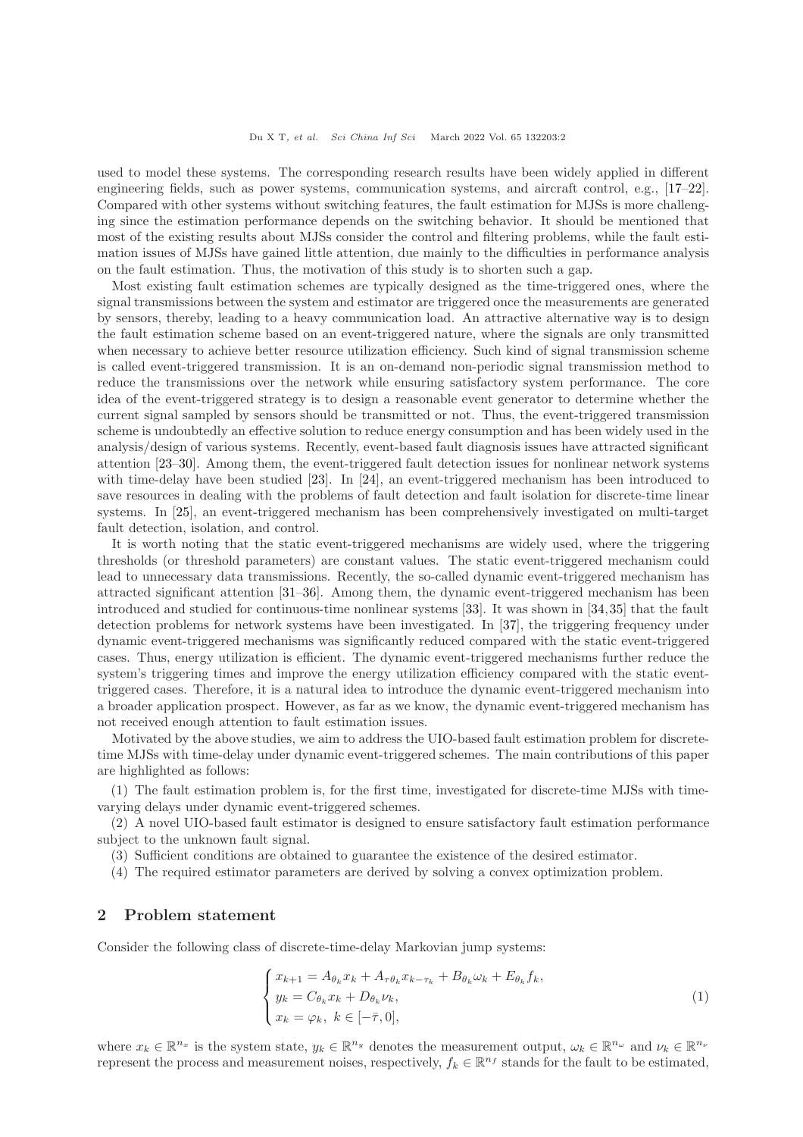used to model these systems. The corresponding research results have been widely applied in different engineering fields, such as power systems, communication systems, and aircraft control, e.g., [\[17](#page-12-9)[–22\]](#page-13-1). Compared with other systems without switching features, the fault estimation for MJSs is more challenging since the estimation performance depends on the switching behavior. It should be mentioned that most of the existing results about MJSs consider the control and filtering problems, while the fault estimation issues of MJSs have gained little attention, due mainly to the difficulties in performance analysis on the fault estimation. Thus, the motivation of this study is to shorten such a gap.

Most existing fault estimation schemes are typically designed as the time-triggered ones, where the signal transmissions between the system and estimator are triggered once the measurements are generated by sensors, thereby, leading to a heavy communication load. An attractive alternative way is to design the fault estimation scheme based on an event-triggered nature, where the signals are only transmitted when necessary to achieve better resource utilization efficiency. Such kind of signal transmission scheme is called event-triggered transmission. It is an on-demand non-periodic signal transmission method to reduce the transmissions over the network while ensuring satisfactory system performance. The core idea of the event-triggered strategy is to design a reasonable event generator to determine whether the current signal sampled by sensors should be transmitted or not. Thus, the event-triggered transmission scheme is undoubtedly an effective solution to reduce energy consumption and has been widely used in the analysis/design of various systems. Recently, event-based fault diagnosis issues have attracted significant attention [\[23–](#page-13-2)[30\]](#page-13-3). Among them, the event-triggered fault detection issues for nonlinear network systems with time-delay have been studied [\[23\]](#page-13-2). In [\[24\]](#page-13-4), an event-triggered mechanism has been introduced to save resources in dealing with the problems of fault detection and fault isolation for discrete-time linear systems. In [\[25\]](#page-13-5), an event-triggered mechanism has been comprehensively investigated on multi-target fault detection, isolation, and control.

It is worth noting that the static event-triggered mechanisms are widely used, where the triggering thresholds (or threshold parameters) are constant values. The static event-triggered mechanism could lead to unnecessary data transmissions. Recently, the so-called dynamic event-triggered mechanism has attracted significant attention [\[31](#page-13-6)[–36\]](#page-13-7). Among them, the dynamic event-triggered mechanism has been introduced and studied for continuous-time nonlinear systems [\[33\]](#page-13-8). It was shown in [\[34,](#page-13-9)[35\]](#page-13-10) that the fault detection problems for network systems have been investigated. In [\[37\]](#page-13-11), the triggering frequency under dynamic event-triggered mechanisms was significantly reduced compared with the static event-triggered cases. Thus, energy utilization is efficient. The dynamic event-triggered mechanisms further reduce the system's triggering times and improve the energy utilization efficiency compared with the static eventtriggered cases. Therefore, it is a natural idea to introduce the dynamic event-triggered mechanism into a broader application prospect. However, as far as we know, the dynamic event-triggered mechanism has not received enough attention to fault estimation issues.

Motivated by the above studies, we aim to address the UIO-based fault estimation problem for discretetime MJSs with time-delay under dynamic event-triggered schemes. The main contributions of this paper are highlighted as follows:

(1) The fault estimation problem is, for the first time, investigated for discrete-time MJSs with timevarying delays under dynamic event-triggered schemes.

(2) A novel UIO-based fault estimator is designed to ensure satisfactory fault estimation performance subject to the unknown fault signal.

(3) Sufficient conditions are obtained to guarantee the existence of the desired estimator.

(4) The required estimator parameters are derived by solving a convex optimization problem.

## 2 Problem statement

Consider the following class of discrete-time-delay Markovian jump systems:

<span id="page-1-0"></span>
$$
\begin{cases}\nx_{k+1} = A_{\theta_k} x_k + A_{\tau \theta_k} x_{k-\tau_k} + B_{\theta_k} \omega_k + E_{\theta_k} f_k, \\
y_k = C_{\theta_k} x_k + D_{\theta_k} \nu_k, \\
x_k = \varphi_k, \ k \in [-\bar{\tau}, 0],\n\end{cases} \tag{1}
$$

where  $x_k \in \mathbb{R}^{n_x}$  is the system state,  $y_k \in \mathbb{R}^{n_y}$  denotes the measurement output,  $\omega_k \in \mathbb{R}^{n_\omega}$  and  $\nu_k \in \mathbb{R}^{n_\nu}$ represent the process and measurement noises, respectively,  $f_k \in \mathbb{R}^{n_f}$  stands for the fault to be estimated,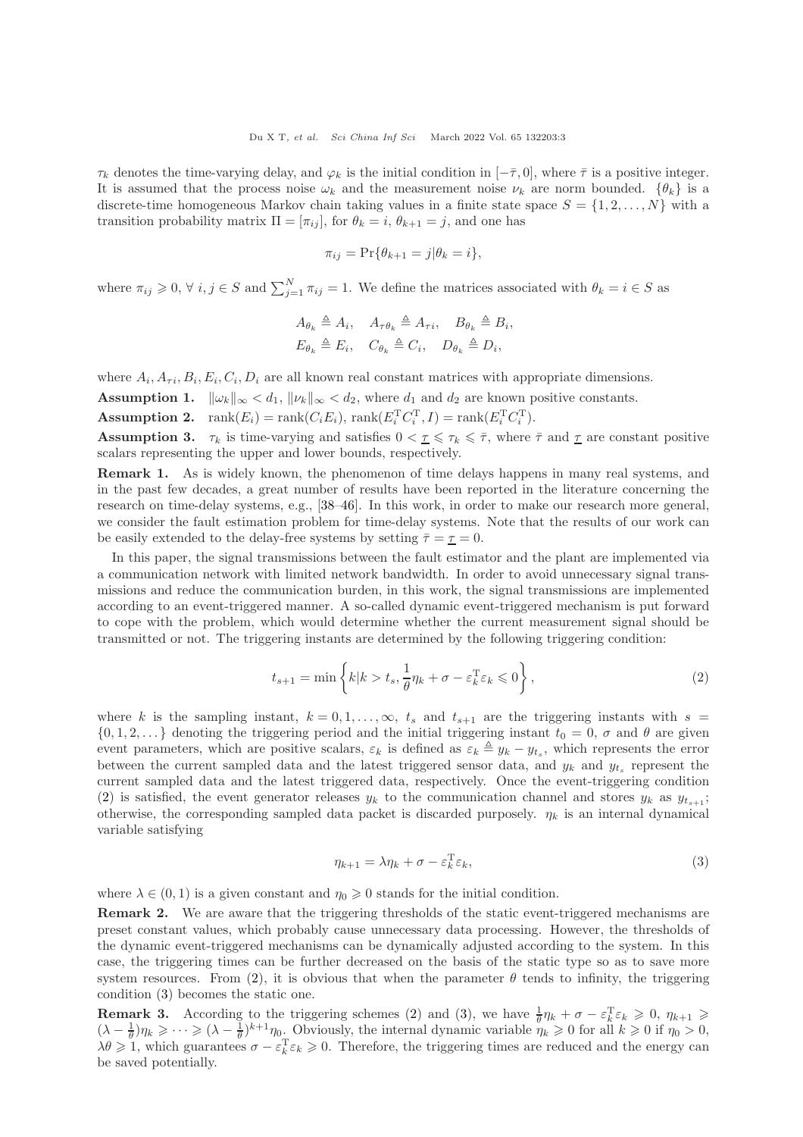$\tau_k$  denotes the time-varying delay, and  $\varphi_k$  is the initial condition in  $[-\bar{\tau}, 0]$ , where  $\bar{\tau}$  is a positive integer. It is assumed that the process noise  $\omega_k$  and the measurement noise  $\nu_k$  are norm bounded.  $\{\theta_k\}$  is a discrete-time homogeneous Markov chain taking values in a finite state space  $S = \{1, 2, \ldots, N\}$  with a transition probability matrix  $\Pi = [\pi_{ij}]$ , for  $\theta_k = i$ ,  $\theta_{k+1} = j$ , and one has

$$
\pi_{ij} = \Pr\{\theta_{k+1} = j | \theta_k = i\},\
$$

where  $\pi_{ij} \geqslant 0$ ,  $\forall i, j \in S$  and  $\sum_{j=1}^{N} \pi_{ij} = 1$ . We define the matrices associated with  $\theta_k = i \in S$  as

$$
A_{\theta_k} \triangleq A_i, \quad A_{\tau \theta_k} \triangleq A_{\tau i}, \quad B_{\theta_k} \triangleq B_i,
$$
  

$$
E_{\theta_k} \triangleq E_i, \quad C_{\theta_k} \triangleq C_i, \quad D_{\theta_k} \triangleq D_i,
$$

where  $A_i, A_{\tau i}, B_i, E_i, C_i, D_i$  are all known real constant matrices with appropriate dimensions.

<span id="page-2-2"></span>**Assumption 1.**  $\|\omega_k\|_{\infty} < d_1$ ,  $\|\nu_k\|_{\infty} < d_2$ , where  $d_1$  and  $d_2$  are known positive constants.

**Assumption 2.**  $\text{rank}(E_i) = \text{rank}(C_i E_i)$ ,  $\text{rank}(E_i^{\text{T}} C_i^{\text{T}}, I) = \text{rank}(E_i^{\text{T}} C_i^{\text{T}})$ .

**Assumption 3.**  $\tau_k$  is time-varying and satisfies  $0 < \tau \leq \tau_k \leq \overline{\tau}$ , where  $\overline{\tau}$  and  $\overline{\tau}$  are constant positive scalars representing the upper and lower bounds, respectively.

Remark 1. As is widely known, the phenomenon of time delays happens in many real systems, and in the past few decades, a great number of results have been reported in the literature concerning the research on time-delay systems, e.g., [\[38–](#page-13-12)[46\]](#page-13-13). In this work, in order to make our research more general, we consider the fault estimation problem for time-delay systems. Note that the results of our work can be easily extended to the delay-free systems by setting  $\bar{\tau} = \tau = 0$ .

In this paper, the signal transmissions between the fault estimator and the plant are implemented via a communication network with limited network bandwidth. In order to avoid unnecessary signal transmissions and reduce the communication burden, in this work, the signal transmissions are implemented according to an event-triggered manner. A so-called dynamic event-triggered mechanism is put forward to cope with the problem, which would determine whether the current measurement signal should be transmitted or not. The triggering instants are determined by the following triggering condition:

$$
t_{s+1} = \min\left\{k|k > t_s, \frac{1}{\theta}\eta_k + \sigma - \varepsilon_k^{\mathrm{T}}\varepsilon_k \leq 0\right\},\tag{2}
$$

where k is the sampling instant,  $k = 0, 1, \ldots, \infty$ ,  $t_s$  and  $t_{s+1}$  are the triggering instants with  $s =$  $\{0, 1, 2, \ldots\}$  denoting the triggering period and the initial triggering instant  $t_0 = 0$ ,  $\sigma$  and  $\theta$  are given event parameters, which are positive scalars,  $\varepsilon_k$  is defined as  $\varepsilon_k \triangleq y_k - y_{t_s}$ , which represents the error between the current sampled data and the latest triggered sensor data, and  $y_k$  and  $y_{t_s}$  represent the current sampled data and the latest triggered data, respectively. Once the event-triggering condition [\(2\)](#page-2-0) is satisfied, the event generator releases  $y_k$  to the communication channel and stores  $y_k$  as  $y_{t_{s+1}}$ ; otherwise, the corresponding sampled data packet is discarded purposely.  $\eta_k$  is an internal dynamical variable satisfying

<span id="page-2-1"></span><span id="page-2-0"></span>
$$
\eta_{k+1} = \lambda \eta_k + \sigma - \varepsilon_k^{\mathrm{T}} \varepsilon_k,\tag{3}
$$

where  $\lambda \in (0, 1)$  is a given constant and  $\eta_0 \geq 0$  stands for the initial condition.

Remark 2. We are aware that the triggering thresholds of the static event-triggered mechanisms are preset constant values, which probably cause unnecessary data processing. However, the thresholds of the dynamic event-triggered mechanisms can be dynamically adjusted according to the system. In this case, the triggering times can be further decreased on the basis of the static type so as to save more system resources. From [\(2\)](#page-2-0), it is obvious that when the parameter  $\theta$  tends to infinity, the triggering condition [\(3\)](#page-2-1) becomes the static one.

**Remark 3.** According to the triggering schemes [\(2\)](#page-2-0) and [\(3\)](#page-2-1), we have  $\frac{1}{\theta}\eta_k + \sigma - \varepsilon_k^T\varepsilon_k \geq 0$ ,  $\eta_{k+1} \geq$  $(\lambda - \frac{1}{\theta})\eta_k \geqslant \cdots \geqslant (\lambda - \frac{1}{\theta})^{k+1}\eta_0$ . Obviously, the internal dynamic variable  $\eta_k \geqslant 0$  for all  $k \geqslant 0$  if  $\eta_0 > 0$ ,  $\lambda \theta \geq 1$ , which guarantees  $\sigma - \varepsilon_k^{\mathrm{T}} \varepsilon_k \geq 0$ . Therefore, the triggering times are reduced and the energy can be saved potentially.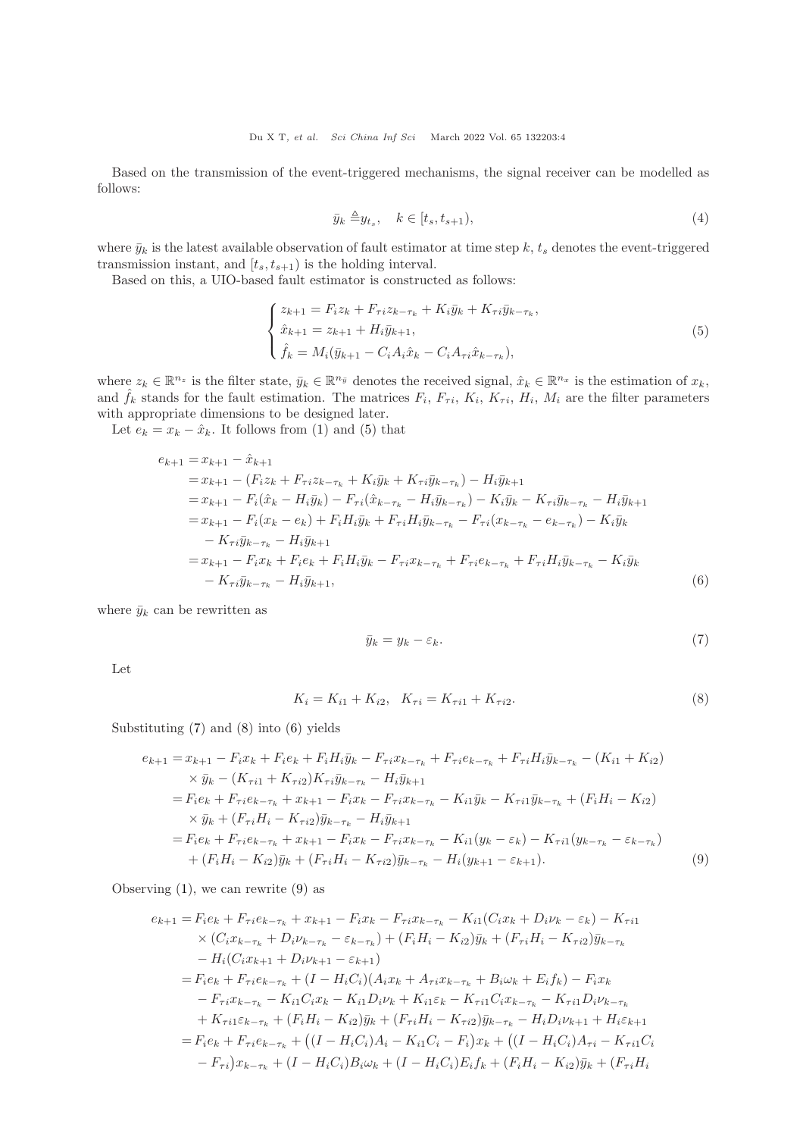Based on the transmission of the event-triggered mechanisms, the signal receiver can be modelled as follows:

<span id="page-3-0"></span>
$$
\bar{y}_k \triangleq y_{t_s}, \quad k \in [t_s, t_{s+1}), \tag{4}
$$

where  $\bar{y}_k$  is the latest available observation of fault estimator at time step k,  $t_s$  denotes the event-triggered transmission instant, and  $[t_s, t_{s+1})$  is the holding interval.

Based on this, a UIO-based fault estimator is constructed as follows:

$$
\begin{cases}\nz_{k+1} = F_i z_k + F_{\tau i} z_{k-\tau_k} + K_i \bar{y}_k + K_{\tau i} \bar{y}_{k-\tau_k}, \\
\hat{x}_{k+1} = z_{k+1} + H_i \bar{y}_{k+1}, \\
\hat{f}_k = M_i (\bar{y}_{k+1} - C_i A_i \hat{x}_k - C_i A_{\tau i} \hat{x}_{k-\tau_k}),\n\end{cases}
$$
\n(5)

where  $z_k \in \mathbb{R}^{n_z}$  is the filter state,  $\bar{y}_k \in \mathbb{R}^{n_{\bar{y}}}$  denotes the received signal,  $\hat{x}_k \in \mathbb{R}^{n_x}$  is the estimation of  $x_k$ , and  $\hat{f}_k$  stands for the fault estimation. The matrices  $F_i$ ,  $F_{\tau i}$ ,  $K_i$ ,  $K_{\tau i}$ ,  $H_i$ ,  $M_i$  are the filter parameters with appropriate dimensions to be designed later.

Let  $e_k = x_k - \hat{x}_k$ . It follows from [\(1\)](#page-1-0) and [\(5\)](#page-3-0) that

$$
e_{k+1} = x_{k+1} - \hat{x}_{k+1}
$$
  
\n
$$
= x_{k+1} - (F_i z_k + F_{\tau i} z_{k-\tau_k} + K_i \bar{y}_k + K_{\tau i} \bar{y}_{k-\tau_k}) - H_i \bar{y}_{k+1}
$$
  
\n
$$
= x_{k+1} - F_i(\hat{x}_k - H_i \bar{y}_k) - F_{\tau i}(\hat{x}_{k-\tau_k} - H_i \bar{y}_{k-\tau_k}) - K_i \bar{y}_k - K_{\tau i} \bar{y}_{k-\tau_k} - H_i \bar{y}_{k+1}
$$
  
\n
$$
= x_{k+1} - F_i(x_k - e_k) + F_i H_i \bar{y}_k + F_{\tau i} H_i \bar{y}_{k-\tau_k} - F_{\tau i} (x_{k-\tau_k} - e_{k-\tau_k}) - K_i \bar{y}_k
$$
  
\n
$$
- K_{\tau i} \bar{y}_{k-\tau_k} - H_i \bar{y}_{k+1}
$$
  
\n
$$
= x_{k+1} - F_i x_k + F_i e_k + F_i H_i \bar{y}_k - F_{\tau i} x_{k-\tau_k} + F_{\tau i} e_{k-\tau_k} + F_{\tau i} H_i \bar{y}_{k-\tau_k} - K_i \bar{y}_k
$$
  
\n
$$
- K_{\tau i} \bar{y}_{k-\tau_k} - H_i \bar{y}_{k+1}, \qquad (6)
$$

where  $\bar{y}_k$  can be rewritten as

<span id="page-3-4"></span><span id="page-3-3"></span><span id="page-3-2"></span><span id="page-3-1"></span>
$$
\bar{y}_k = y_k - \varepsilon_k. \tag{7}
$$

Let

$$
K_i = K_{i1} + K_{i2}, \quad K_{\tau i} = K_{\tau i1} + K_{\tau i2}.
$$
\n
$$
(8)
$$

Substituting [\(7\)](#page-3-1) and [\(8\)](#page-3-2) into [\(6\)](#page-3-3) yields

$$
e_{k+1} = x_{k+1} - F_i x_k + F_i e_k + F_i H_i \bar{y}_k - F_{\tau i} x_{k-\tau_k} + F_{\tau i} e_{k-\tau_k} + F_{\tau i} H_i \bar{y}_{k-\tau_k} - (K_{i1} + K_{i2})
$$
  
\n
$$
\times \bar{y}_k - (K_{\tau i1} + K_{\tau i2}) K_{\tau i} \bar{y}_{k-\tau_k} - H_i \bar{y}_{k+1}
$$
  
\n
$$
= F_i e_k + F_{\tau i} e_{k-\tau_k} + x_{k+1} - F_i x_k - F_{\tau i} x_{k-\tau_k} - K_{i1} \bar{y}_k - K_{\tau i1} \bar{y}_{k-\tau_k} + (F_i H_i - K_{i2})
$$
  
\n
$$
\times \bar{y}_k + (F_{\tau i} H_i - K_{\tau i2}) \bar{y}_{k-\tau_k} - H_i \bar{y}_{k+1}
$$
  
\n
$$
= F_i e_k + F_{\tau i} e_{k-\tau_k} + x_{k+1} - F_i x_k - F_{\tau i} x_{k-\tau_k} - K_{i1} (y_k - \varepsilon_k) - K_{\tau i1} (y_{k-\tau_k} - \varepsilon_{k-\tau_k})
$$
  
\n
$$
+ (F_i H_i - K_{i2}) \bar{y}_k + (F_{\tau i} H_i - K_{\tau i2}) \bar{y}_{k-\tau_k} - H_i (y_{k+1} - \varepsilon_{k+1}). \tag{9}
$$

Observing  $(1)$ , we can rewrite  $(9)$  as

$$
e_{k+1} = F_i e_k + F_{\tau i} e_{k-\tau_k} + x_{k+1} - F_i x_k - F_{\tau i} x_{k-\tau_k} - K_{i1} (C_i x_k + D_i \nu_k - \varepsilon_k) - K_{\tau i1}
$$
  
\n
$$
\times (C_i x_{k-\tau_k} + D_i \nu_{k-\tau_k} - \varepsilon_{k-\tau_k}) + (F_i H_i - K_{i2}) \bar{y}_k + (F_{\tau i} H_i - K_{\tau i2}) \bar{y}_{k-\tau_k}
$$
  
\n
$$
- H_i (C_i x_{k+1} + D_i \nu_{k+1} - \varepsilon_{k+1})
$$
  
\n
$$
= F_i e_k + F_{\tau i} e_{k-\tau_k} + (I - H_i C_i) (A_i x_k + A_{\tau i} x_{k-\tau_k} + B_i \omega_k + E_i f_k) - F_i x_k
$$
  
\n
$$
- F_{\tau i} x_{k-\tau_k} - K_{i1} C_i x_k - K_{i1} D_i \nu_k + K_{i1} \varepsilon_k - K_{\tau i1} C_i x_{k-\tau_k} - K_{\tau i1} D_i \nu_{k-\tau_k}
$$
  
\n
$$
+ K_{\tau i1} \varepsilon_{k-\tau_k} + (F_i H_i - K_{i2}) \bar{y}_k + (F_{\tau i} H_i - K_{\tau i2}) \bar{y}_{k-\tau_k} - H_i D_i \nu_{k+1} + H_i \varepsilon_{k+1}
$$
  
\n
$$
= F_i e_k + F_{\tau i} e_{k-\tau_k} + ((I - H_i C_i) A_i - K_{i1} C_i - F_i) x_k + ((I - H_i C_i) A_{\tau i} - K_{\tau i1} C_i - F_{\tau i}) x_{k-\tau_k} + (I - H_i C_i) B_i \omega_k + (I - H_i C_i) E_i f_k + (F_i H_i - K_{i2}) \bar{y}_k + (F_i H_i - K_{i1} H_i)
$$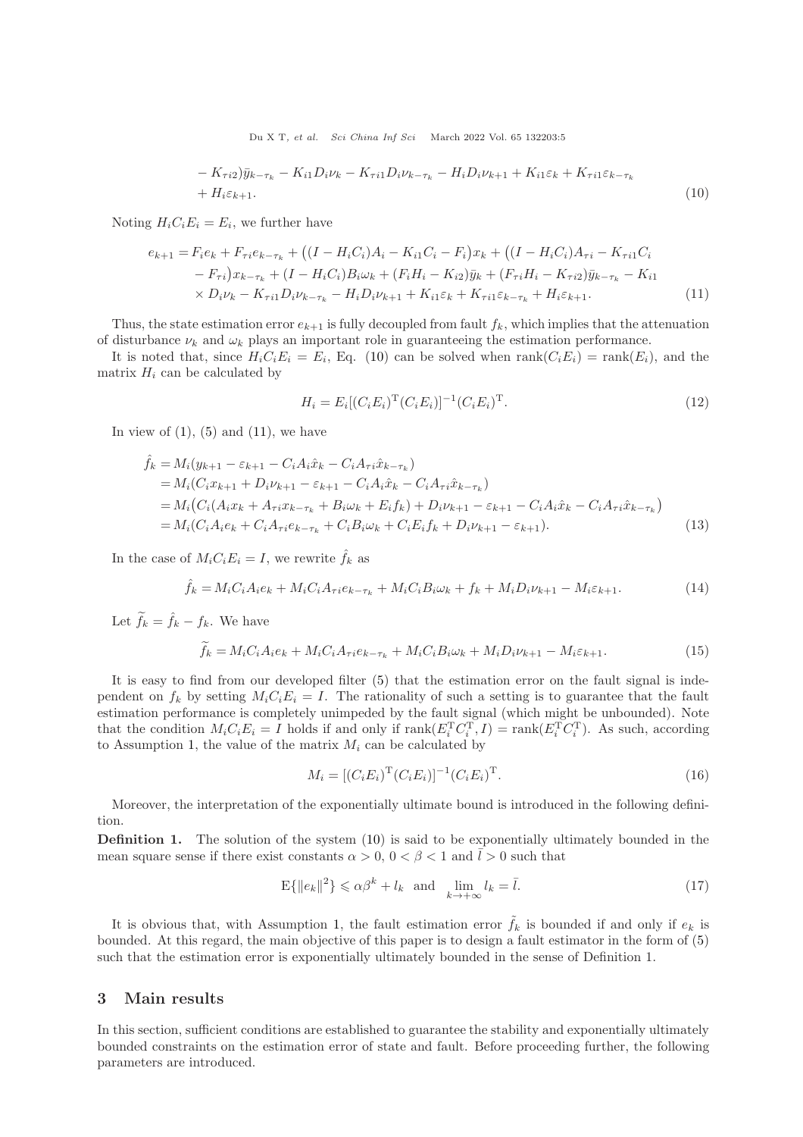$$
- K_{\tau i2} \tilde{y}_{k-\tau_k} - K_{i1} D_i \nu_k - K_{\tau i1} D_i \nu_{k-\tau_k} - H_i D_i \nu_{k+1} + K_{i1} \varepsilon_k + K_{\tau i1} \varepsilon_{k-\tau_k}
$$
  
+ 
$$
H_i \varepsilon_{k+1}.
$$
 (10)

Noting  $H_i C_i E_i = E_i$ , we further have

$$
e_{k+1} = F_i e_k + F_{\tau i} e_{k-\tau_k} + ((I - H_i C_i) A_i - K_{i1} C_i - F_i) x_k + ((I - H_i C_i) A_{\tau i} - K_{\tau i1} C_i - F_{\tau i}) x_{k-\tau_k} + (I - H_i C_i) B_i \omega_k + (F_i H_i - K_{i2}) \bar{y}_k + (F_{\tau i} H_i - K_{\tau i2}) \bar{y}_{k-\tau_k} - K_{i1} \times D_i \nu_k - K_{\tau i1} D_i \nu_{k-\tau_k} - H_i D_i \nu_{k+1} + K_{i1} \varepsilon_k + K_{\tau i1} \varepsilon_{k-\tau_k} + H_i \varepsilon_{k+1}.
$$
\n(11)

Thus, the state estimation error  $e_{k+1}$  is fully decoupled from fault  $f_k$ , which implies that the attenuation of disturbance  $\nu_k$  and  $\omega_k$  plays an important role in guaranteeing the estimation performance.

It is noted that, since  $H_i C_i E_i = E_i$ , Eq. [\(10\)](#page-4-0) can be solved when  $rank(C_i E_i) = rank(E_i)$ , and the matrix  $H_i$  can be calculated by

<span id="page-4-1"></span><span id="page-4-0"></span>
$$
H_i = E_i[(C_i E_i)^{\mathrm{T}} (C_i E_i)]^{-1} (C_i E_i)^{\mathrm{T}}.
$$
\n(12)

In view of  $(1)$ ,  $(5)$  and  $(11)$ , we have

$$
\hat{f}_k = M_i(y_{k+1} - \varepsilon_{k+1} - C_i A_i \hat{x}_k - C_i A_{\tau i} \hat{x}_{k-\tau_k})
$$
\n
$$
= M_i(C_i x_{k+1} + D_i \nu_{k+1} - \varepsilon_{k+1} - C_i A_i \hat{x}_k - C_i A_{\tau i} \hat{x}_{k-\tau_k})
$$
\n
$$
= M_i(C_i(A_i x_k + A_{\tau i} x_{k-\tau_k} + B_i \omega_k + E_i f_k) + D_i \nu_{k+1} - \varepsilon_{k+1} - C_i A_i \hat{x}_k - C_i A_{\tau i} \hat{x}_{k-\tau_k})
$$
\n
$$
= M_i(C_i A_i e_k + C_i A_{\tau i} e_{k-\tau_k} + C_i B_i \omega_k + C_i E_i f_k + D_i \nu_{k+1} - \varepsilon_{k+1}).
$$
\n(13)

In the case of  $M_iC_iE_i = I$ , we rewrite  $\hat{f}_k$  as

$$
\hat{f}_k = M_i C_i A_i e_k + M_i C_i A_{\tau i} e_{k-\tau_k} + M_i C_i B_i \omega_k + f_k + M_i D_i \nu_{k+1} - M_i \varepsilon_{k+1}.
$$
\n(14)

Let  $\widetilde{f}_k = \widehat{f}_k - f_k$ . We have

$$
\widetilde{f}_k = M_i C_i A_i e_k + M_i C_i A_{\tau i} e_{k - \tau_k} + M_i C_i B_i \omega_k + M_i D_i \nu_{k+1} - M_i \varepsilon_{k+1}.
$$
\n(15)

It is easy to find from our developed filter [\(5\)](#page-3-0) that the estimation error on the fault signal is independent on  $f_k$  by setting  $M_iC_iE_i = I$ . The rationality of such a setting is to guarantee that the fault estimation performance is completely unimpeded by the fault signal (which might be unbounded). Note that the condition  $M_iC_iE_i = I$  holds if and only if  $\text{rank}(E_i^{\text{T}} C_i^{\text{T}}, I) = \text{rank}(E_i^{\text{T}} C_i^{\text{T}})$ . As such, according to Assumption [1,](#page-2-2) the value of the matrix  $M_i$  can be calculated by

<span id="page-4-2"></span>
$$
M_i = [(C_i E_i)^{\mathrm{T}} (C_i E_i)]^{-1} (C_i E_i)^{\mathrm{T}}.
$$
\n(16)

Moreover, the interpretation of the exponentially ultimate bound is introduced in the following definition.

<span id="page-4-3"></span>Definition 1. The solution of the system [\(10\)](#page-4-0) is said to be exponentially ultimately bounded in the mean square sense if there exist constants  $\alpha > 0$ ,  $0 < \beta < 1$  and  $\overline{l} > 0$  such that

$$
E\{\|e_k\|^2\} \leq \alpha \beta^k + l_k \quad \text{and} \quad \lim_{k \to +\infty} l_k = \bar{l}.\tag{17}
$$

It is obvious that, with Assumption [1,](#page-2-2) the fault estimation error  $\tilde{f}_k$  is bounded if and only if  $e_k$  is bounded. At this regard, the main objective of this paper is to design a fault estimator in the form of [\(5\)](#page-3-0) such that the estimation error is exponentially ultimately bounded in the sense of Definition 1.

### 3 Main results

In this section, sufficient conditions are established to guarantee the stability and exponentially ultimately bounded constraints on the estimation error of state and fault. Before proceeding further, the following parameters are introduced.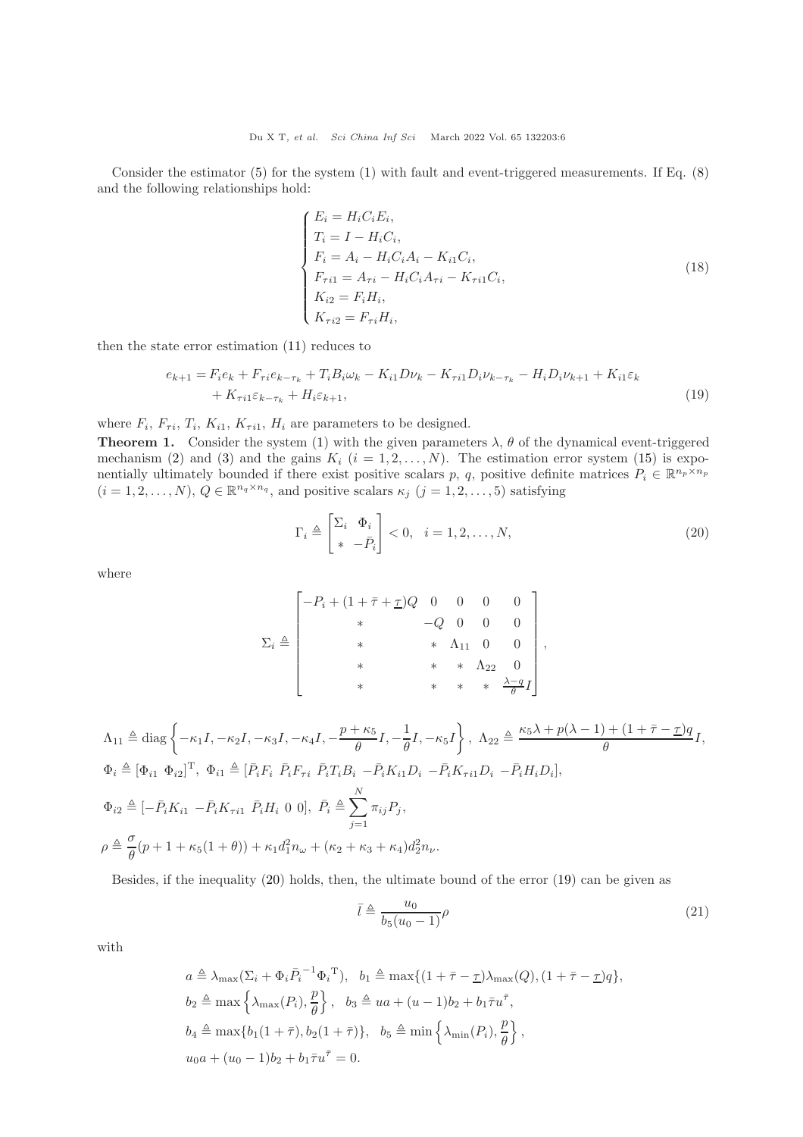Consider the estimator [\(5\)](#page-3-0) for the system [\(1\)](#page-1-0) with fault and event-triggered measurements. If Eq. [\(8\)](#page-3-2) and the following relationships hold:

$$
\begin{cases}\nE_i = H_i C_i E_i, \\
T_i = I - H_i C_i, \\
F_i = A_i - H_i C_i A_i - K_{i1} C_i, \\
F_{\tau i1} = A_{\tau i} - H_i C_i A_{\tau i} - K_{\tau i1} C_i, \\
K_{i2} = F_i H_i, \\
K_{\tau i2} = F_{\tau i} H_i,\n\end{cases} (18)
$$

then the state error estimation [\(11\)](#page-4-1) reduces to

$$
e_{k+1} = F_i e_k + F_{\tau i} e_{k-\tau_k} + T_i B_i \omega_k - K_{i1} D \nu_k - K_{\tau i1} D_i \nu_{k-\tau_k} - H_i D_i \nu_{k+1} + K_{i1} \varepsilon_k + K_{\tau i1} \varepsilon_{k-\tau_k} + H_i \varepsilon_{k+1},
$$
\n(19)

where  $F_i$ ,  $F_{\tau i}$ ,  $T_i$ ,  $K_{i1}$ ,  $K_{\tau i1}$ ,  $H_i$  are parameters to be designed.

<span id="page-5-2"></span>**Theorem 1.** Consider the system [\(1\)](#page-1-0) with the given parameters  $\lambda$ ,  $\theta$  of the dynamical event-triggered mechanism [\(2\)](#page-2-0) and [\(3\)](#page-2-1) and the gains  $K_i$   $(i = 1, 2, ..., N)$ . The estimation error system [\(15\)](#page-4-2) is exponentially ultimately bounded if there exist positive scalars p, q, positive definite matrices  $P_i \in \mathbb{R}^{n_p \times n_p}$  $(i = 1, 2, \ldots, N), Q \in \mathbb{R}^{n_q \times n_q}$ , and positive scalars  $\kappa_j$   $(j = 1, 2, \ldots, 5)$  satisfying

<span id="page-5-1"></span><span id="page-5-0"></span>
$$
\Gamma_i \triangleq \begin{bmatrix} \Sigma_i & \Phi_i \\ * & -\bar{P}_i \end{bmatrix} < 0, \quad i = 1, 2, \dots, N,
$$
\n(20)

where

$$
\Sigma_{i} \triangleq \begin{bmatrix}\n-P_{i} + (1 + \bar{\tau} + \underline{\tau})Q & 0 & 0 & 0 & 0 \\
& * & -Q & 0 & 0 & 0 \\
& & * & * & \Lambda_{11} & 0 & 0 \\
& & & * & * & \Lambda_{22} & 0 \\
& & & & * & * & * \frac{\lambda - q}{\theta}I\n\end{bmatrix},
$$

$$
\Lambda_{11} \triangleq \text{diag}\left\{-\kappa_{1}I, -\kappa_{2}I, -\kappa_{3}I, -\kappa_{4}I, -\frac{p+\kappa_{5}}{\theta}I, -\frac{1}{\theta}I, -\kappa_{5}I\right\}, \quad \Lambda_{22} \triangleq \frac{\kappa_{5}\lambda + p(\lambda - 1) + (1 + \bar{\tau} - \underline{\tau})q}{\theta}I,
$$
\n
$$
\Phi_{i} \triangleq [\Phi_{i1} \ \Phi_{i2}]^{T}, \quad \Phi_{i1} \triangleq [\bar{P}_{i}F_{i} \ \bar{P}_{i}F_{\tau i} \ \bar{P}_{i}T_{i}B_{i} - \bar{P}_{i}K_{i1}D_{i} - \bar{P}_{i}K_{\tau i1}D_{i} - \bar{P}_{i}H_{i}D_{i}],
$$
\n
$$
\Phi_{i2} \triangleq [-\bar{P}_{i}K_{i1} \ - \bar{P}_{i}K_{\tau i1} \ \bar{P}_{i}H_{i} \ 0 \ 0], \quad \bar{P}_{i} \triangleq \sum_{j=1}^{N} \pi_{ij}P_{j},
$$
\n
$$
\rho \triangleq \frac{\sigma}{\theta}(p + 1 + \kappa_{5}(1 + \theta)) + \kappa_{1}d_{1}^{2}n_{\omega} + (\kappa_{2} + \kappa_{3} + \kappa_{4})d_{2}^{2}n_{\nu}.
$$

Besides, if the inequality [\(20\)](#page-5-0) holds, then, the ultimate bound of the error [\(19\)](#page-5-1) can be given as

$$
\bar{l} \triangleq \frac{u_0}{b_5(u_0 - 1)} \rho \tag{21}
$$

with

$$
a \triangleq \lambda_{\max}(\Sigma_i + \Phi_i \overline{P}_i^{-1} \Phi_i^{\mathrm{T}}), \quad b_1 \triangleq \max\{(1 + \overline{\tau} - \underline{\tau})\lambda_{\max}(Q), (1 + \overline{\tau} - \underline{\tau})q\},
$$
  
\n
$$
b_2 \triangleq \max\left\{\lambda_{\max}(P_i), \frac{p}{\theta}\right\}, \quad b_3 \triangleq ua + (u - 1)b_2 + b_1 \overline{\tau}u^{\overline{\tau}},
$$
  
\n
$$
b_4 \triangleq \max\{b_1(1 + \overline{\tau}), b_2(1 + \overline{\tau})\}, \quad b_5 \triangleq \min\left\{\lambda_{\min}(P_i), \frac{p}{\theta}\right\},
$$
  
\n
$$
u_0 a + (u_0 - 1)b_2 + b_1 \overline{\tau}u^{\overline{\tau}} = 0.
$$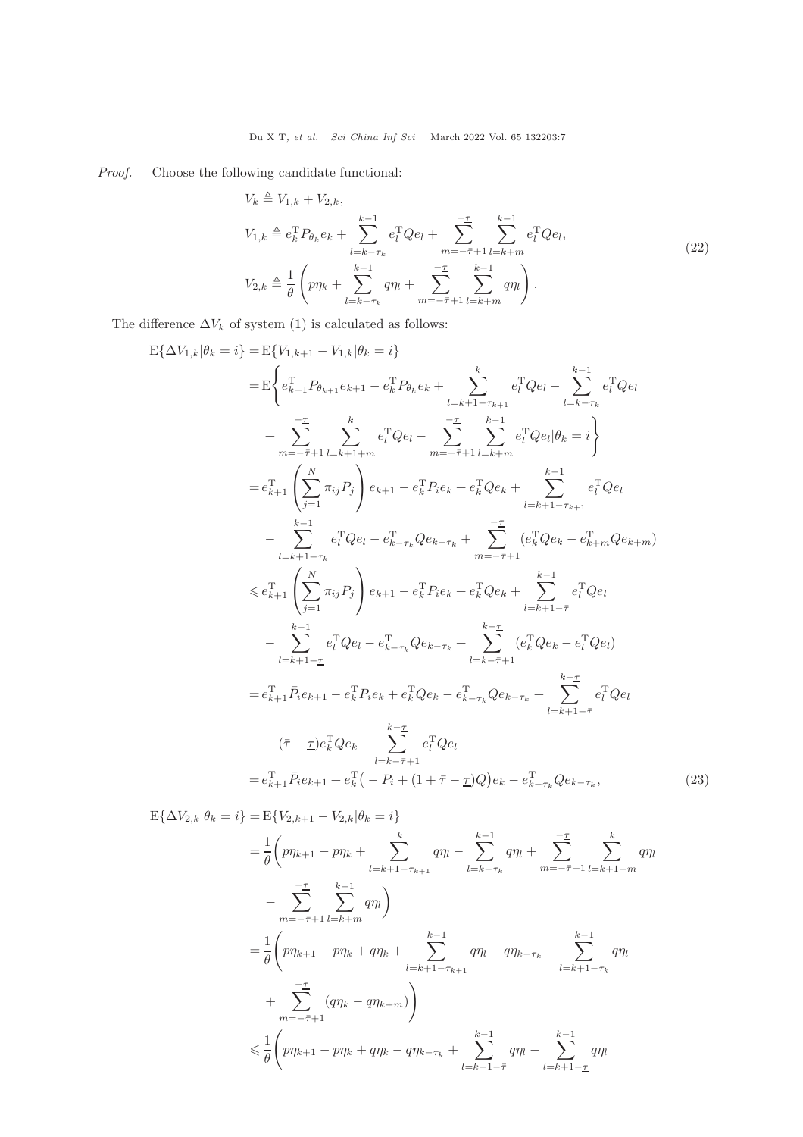Proof. Choose the following candidate functional:

<span id="page-6-1"></span>
$$
V_{k} \triangleq V_{1,k} + V_{2,k},
$$
  
\n
$$
V_{1,k} \triangleq e_{k}^{T} P_{\theta_{k}} e_{k} + \sum_{l=k-\tau_{k}}^{k-1} e_{l}^{T} Q e_{l} + \sum_{m=-\bar{\tau}+1}^{-\underline{\tau}} \sum_{l=k+m}^{k-1} e_{l}^{T} Q e_{l},
$$
  
\n
$$
V_{2,k} \triangleq \frac{1}{\theta} \left( p \eta_{k} + \sum_{l=k-\tau_{k}}^{k-1} q \eta_{l} + \sum_{m=-\bar{\tau}+1}^{-\underline{\tau}} \sum_{l=k+m}^{k-1} q \eta_{l} \right).
$$
\n(22)

The difference  $\Delta V_k$  of system [\(1\)](#page-1-0) is calculated as follows:

$$
E\{\Delta V_{1,k}|\theta_k = i\} = E\{V_{1,k+1} - V_{1,k}|\theta_k = i\}
$$
\n
$$
= E\left\{e_{k+1}^T P_{\theta_{k+1}} e_{k+1} - e_k^T P_{\theta_k} e_k + \sum_{l=k+1-\tau_{k+1}}^k e_l^T Q e_l - \sum_{l=k-\tau_k}^{k-1} e_l^T Q e_l\right\}
$$
\n
$$
+ \sum_{m=-\bar{\tau}+1}^{\bar{\tau}} \sum_{l=k+1+m}^k e_l^T Q e_l - \sum_{m=-\bar{\tau}+1}^{-\bar{\tau}} \sum_{l=k+1}^{k-1} e_l^T Q e_l |\theta_k = i\}
$$
\n
$$
= e_{k+1}^T \left(\sum_{j=1}^N \pi_{ij} P_j\right) e_{k+1} - e_k^T P_i e_k + e_k^T Q e_k + \sum_{l=k+1-\tau_{k+1}}^{k-1} e_l^T Q e_l
$$
\n
$$
= \sum_{l=k+1-\tau_k}^{k-1} e_l^T Q e_l - e_{k-\tau_k}^T Q e_{k-\tau_k} + \sum_{m=-\bar{\tau}+1}^{-\bar{\tau}} (e_k^T Q e_k - e_{k+m}^T Q e_{k+m})
$$
\n
$$
\leq e_{k+1}^T \left(\sum_{j=1}^N \pi_{ij} P_j\right) e_{k+1} - e_k^T P_i e_k + e_k^T Q e_k + \sum_{l=k+1-\bar{\tau}}^{k-1} e_l^T Q e_l
$$
\n
$$
- \sum_{l=k+1-\bar{\tau}}^{k-1} e_l^T Q e_l - e_{k-\tau_k}^T Q e_{k-\tau_k} + \sum_{l=k-\bar{\tau}+1}^{k-\bar{\tau}} (e_k^T Q e_k - e_l^T Q e_l)
$$
\n
$$
= e_{k+1}^T \bar{P}_i e_{k+1} - e_k^T P_i e_k + e_k^T Q e_k - e_{k-\tau_k}^T Q e_{k-\tau_k} + \sum_{l=k+1-\bar{\tau}}^{k-\bar{\tau}} e_l^T Q e_l
$$
\n
$$
= e_{k+1}^T \bar{P}_i e_{k+1} + e_k^T (- P_i + (1 + \bar{\tau} - \bar{\tau}) Q) e_k - e_{k-\tau_k}^T Q
$$

<span id="page-6-0"></span>
$$
E\{\Delta V_{2,k}|\theta_k = i\} = E\{V_{2,k+1} - V_{2,k}|\theta_k = i\}
$$
  
\n
$$
= \frac{1}{\theta}\left(p\eta_{k+1} - p\eta_k + \sum_{l=k+1-\tau_{k+1}}^k q\eta_l - \sum_{l=k-\tau_k}^{k-1} q\eta_l + \sum_{m=-\bar{\tau}+1}^{-\bar{\tau}} \sum_{l=k+1+m}^k q\eta_l - \sum_{m=-\bar{\tau}+1}^{-\bar{\tau}} \sum_{l=k+1-m}^{k-1} q\eta_l\right)
$$
  
\n
$$
= \frac{1}{\theta}\left(p\eta_{k+1} - p\eta_k + q\eta_k + \sum_{l=k+1-\tau_{k+1}}^{k-1} q\eta_l - q\eta_{k-\tau_k} - \sum_{l=k+1-\tau_k}^{k-1} q\eta_l - \sum_{l=k+1-\tau_k}^{k-1} q\eta_l\right)
$$
  
\n
$$
+ \sum_{m=-\bar{\tau}+1}^{-\bar{\tau}} (q\eta_k - q\eta_{k+m})
$$
  
\n
$$
\leq \frac{1}{\theta}\left(p\eta_{k+1} - p\eta_k + q\eta_k - q\eta_{k-\tau_k} + \sum_{l=k+1-\bar{\tau}}^{k-1} q\eta_l - \sum_{l=k+1-\underline{\tau}}^{k-1} q\eta_l\right)
$$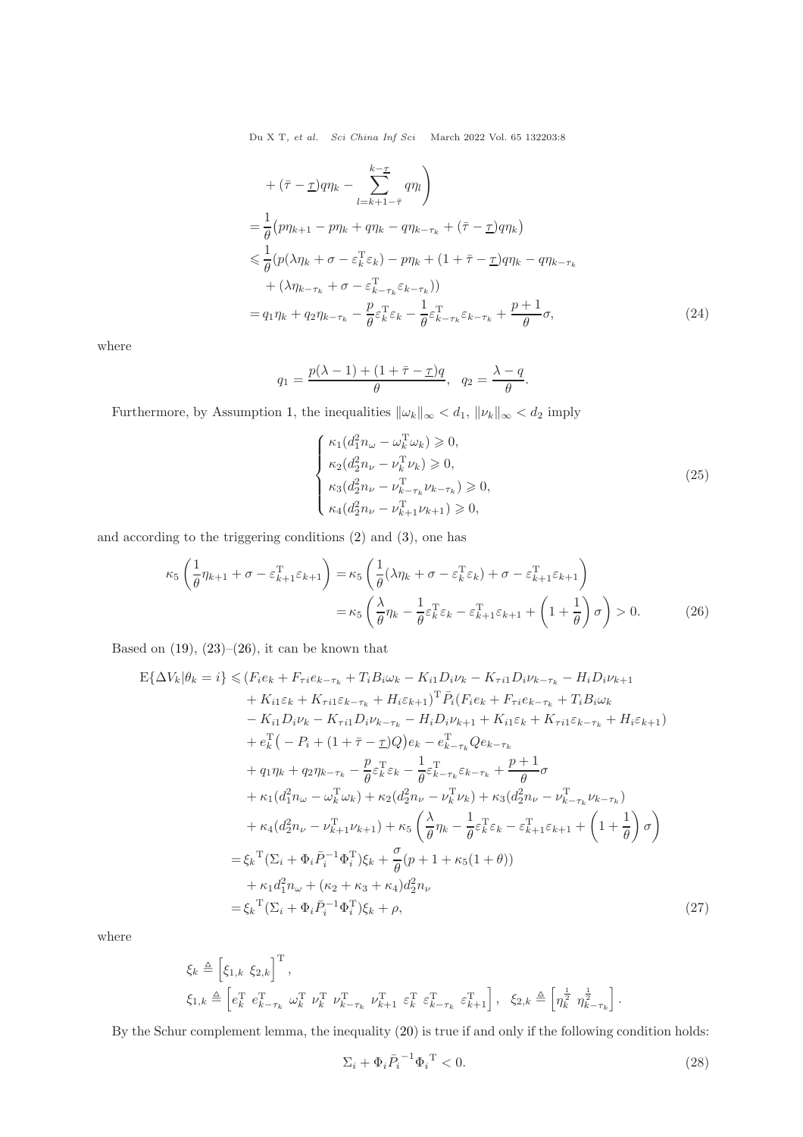+ 
$$
(\bar{\tau} - \underline{\tau}) q \eta_k - \sum_{l=k+1-\bar{\tau}}^{k-\bar{\tau}} q \eta_l
$$
  
\n=  $\frac{1}{\theta} (p \eta_{k+1} - p \eta_k + q \eta_k - q \eta_{k-\tau_k} + (\bar{\tau} - \underline{\tau}) q \eta_k)$   
\n $\leq \frac{1}{\theta} (p (\lambda \eta_k + \sigma - \varepsilon_k^{\mathrm{T}} \varepsilon_k) - p \eta_k + (1 + \bar{\tau} - \underline{\tau}) q \eta_k - q \eta_{k-\tau_k}$   
\n+  $(\lambda \eta_{k-\tau_k} + \sigma - \varepsilon_{k-\tau_k}^{\mathrm{T}} \varepsilon_{k-\tau_k}) )$   
\n=  $q_1 \eta_k + q_2 \eta_{k-\tau_k} - \frac{p}{\theta} \varepsilon_k^{\mathrm{T}} \varepsilon_k - \frac{1}{\theta} \varepsilon_{k-\tau_k}^{\mathrm{T}} \varepsilon_{k-\tau_k} + \frac{p+1}{\theta} \sigma,$  (24)

where

$$
q_1 = \frac{p(\lambda - 1) + (1 + \overline{\tau} - \underline{\tau})q}{\theta}, \quad q_2 = \frac{\lambda - q}{\theta}.
$$

Furthermore, by Assumption [1,](#page-2-2) the inequalities  $\|\omega_k\|_\infty < d_1, \, \|\nu_k\|_\infty < d_2$  imply

<span id="page-7-0"></span>
$$
\begin{cases}\n\kappa_1(d_1^2 n_\omega - \omega_k^{\mathrm{T}} \omega_k) \ge 0, \\
\kappa_2(d_2^2 n_\nu - \nu_k^{\mathrm{T}} \nu_k) \ge 0, \\
\kappa_3(d_2^2 n_\nu - \nu_{k-\tau_k}^{\mathrm{T}} \nu_{k-\tau_k}) \ge 0, \\
\kappa_4(d_2^2 n_\nu - \nu_{k+1}^{\mathrm{T}} \nu_{k+1}) \ge 0,\n\end{cases}
$$
\n(25)

and according to the triggering conditions [\(2\)](#page-2-0) and [\(3\)](#page-2-1), one has

$$
\kappa_5 \left( \frac{1}{\theta} \eta_{k+1} + \sigma - \varepsilon_{k+1}^{\mathrm{T}} \varepsilon_{k+1} \right) = \kappa_5 \left( \frac{1}{\theta} (\lambda \eta_k + \sigma - \varepsilon_k^{\mathrm{T}} \varepsilon_k) + \sigma - \varepsilon_{k+1}^{\mathrm{T}} \varepsilon_{k+1} \right)
$$

$$
= \kappa_5 \left( \frac{\lambda}{\theta} \eta_k - \frac{1}{\theta} \varepsilon_k^{\mathrm{T}} \varepsilon_k - \varepsilon_{k+1}^{\mathrm{T}} \varepsilon_{k+1} + \left( 1 + \frac{1}{\theta} \right) \sigma \right) > 0. \tag{26}
$$

Based on  $(19)$ ,  $(23)$ – $(26)$ , it can be known that

$$
E\{\Delta V_k | \theta_k = i\} \leq (F_i e_k + F_{\tau i} e_{k-\tau_k} + T_i B_i \omega_k - K_{i1} D_i \nu_k - K_{\tau i1} D_i \nu_{k-\tau_k} - H_i D_i \nu_{k+1} + K_{i1} \varepsilon_k + K_{\tau i1} \varepsilon_{k-\tau_k} + H_i \varepsilon_{k+1})^{\mathrm{T}} \bar{P}_i (F_i e_k + F_{\tau i} e_{k-\tau_k} + T_i B_i \omega_k - K_{i1} D_i \nu_k - K_{\tau i1} D_i \nu_{k-\tau_k} - H_i D_i \nu_{k+1} + K_{i1} \varepsilon_k + K_{\tau i1} \varepsilon_{k-\tau_k} + H_i \varepsilon_{k+1}) + e_k^{\mathrm{T}} \left( -P_i + (1 + \bar{\tau} - \underline{\tau}) Q \right) e_k - e_{k-\tau_k}^{\mathrm{T}} Q e_{k-\tau_k} + q_1 \eta_k + q_2 \eta_{k-\tau_k} - \frac{p}{\theta} \varepsilon_k^{\mathrm{T}} \varepsilon_k - \frac{1}{\theta} \varepsilon_{k-\tau_k}^{\mathrm{T}} \varepsilon_{k-\tau_k} + \frac{p+1}{\theta} \sigma + \kappa_1 (d_1^2 n_\omega - \omega_k^{\mathrm{T}} \omega_k) + \kappa_2 (d_2^2 n_\nu - \nu_k^{\mathrm{T}} \nu_k) + \kappa_3 (d_2^2 n_\nu - \nu_{k-\tau_k}^{\mathrm{T}} \nu_{k-\tau_k}) + \kappa_4 (d_2^2 n_\nu - \nu_{k+1}^{\mathrm{T}} \nu_{k+1}) + \kappa_5 \left( \frac{\lambda}{\theta} \eta_k - \frac{1}{\theta} \varepsilon_k^{\mathrm{T}} \varepsilon_k - \varepsilon_{k+1}^{\mathrm{T}} \varepsilon_{k+1} + \left( 1 + \frac{1}{\theta} \right) \sigma \right) = \xi_k^{\mathrm{T}} (\Sigma_i + \Phi_i \bar{P}_i^{-1} \Phi_i^{\mathrm{T}}) \xi_k + \frac{\sigma}{\theta} (p+1 + \kappa_5 (1 + \theta)) + \kappa_1 d_1^2 n_\omega + (\kappa_2 + \kappa_3 + \kappa_4) d_2^2 n_\nu = \xi_k^{\mathrm{T}} (\Sigma_i + \Phi_i \bar{P}_i^{-1} \Phi
$$

where

$$
\xi_k \triangleq \left[ \xi_{1,k} \xi_{2,k} \right]^{\mathrm{T}},
$$
\n
$$
\xi_{1,k} \triangleq \left[ e_k^{\mathrm{T}} \ e_{k-\tau_k}^{\mathrm{T}} \ \omega_k^{\mathrm{T}} \ \nu_k^{\mathrm{T}} \ \nu_{k-\tau_k}^{\mathrm{T}} \ \nu_{k+1}^{\mathrm{T}} \ \varepsilon_k^{\mathrm{T}} \ \varepsilon_{k-\tau_k}^{\mathrm{T}} \ \varepsilon_{k+1}^{\mathrm{T}} \right], \quad \xi_{2,k} \triangleq \left[ \eta_k^{\frac{1}{2}} \ \eta_{k-\tau_k}^{\frac{1}{2}} \right].
$$

By the Schur complement lemma, the inequality [\(20\)](#page-5-0) is true if and only if the following condition holds:

$$
\Sigma_i + \Phi_i \overline{P}_i^{-1} \Phi_i^{\ \mathrm{T}} < 0. \tag{28}
$$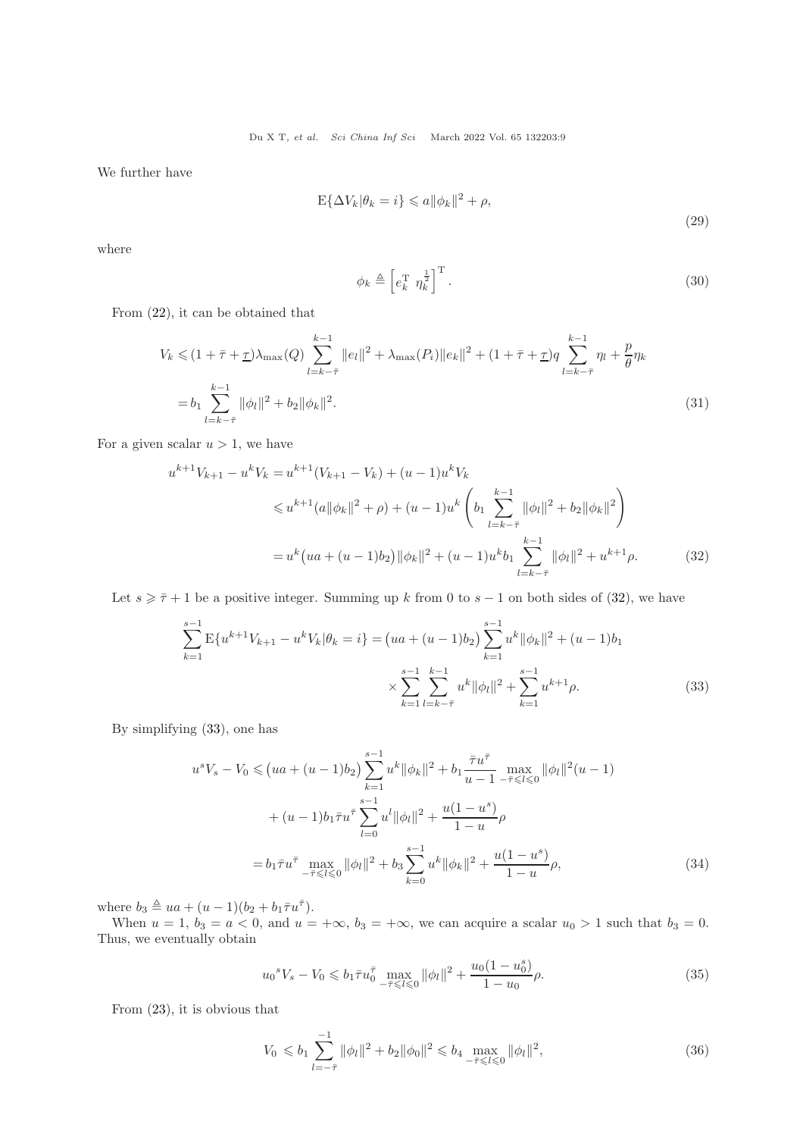We further have

$$
E\{\Delta V_k|\theta_k = i\} \leqslant a \|\phi_k\|^2 + \rho,
$$
\n(29)

where

<span id="page-8-4"></span><span id="page-8-0"></span>
$$
\phi_k \triangleq \left[ e_k^{\mathrm{T}} \ \eta_k^{\frac{1}{2}} \right]^{\mathrm{T}} . \tag{30}
$$

From [\(22\)](#page-6-1), it can be obtained that

$$
V_k \leq (1 + \bar{\tau} + \underline{\tau})\lambda_{\max}(Q) \sum_{l=k-\bar{\tau}}^{k-1} ||e_l||^2 + \lambda_{\max}(P_i) ||e_k||^2 + (1 + \bar{\tau} + \underline{\tau})q \sum_{l=k-\bar{\tau}}^{k-1} \eta_l + \frac{p}{\theta}\eta_k
$$
  
=  $b_1 \sum_{l=k-\bar{\tau}}^{k-1} ||\phi_l||^2 + b_2 ||\phi_k||^2.$  (31)

For a given scalar  $u > 1$ , we have

$$
u^{k+1}V_{k+1} - u^kV_k = u^{k+1}(V_{k+1} - V_k) + (u - 1)u^kV_k
$$
  
\n
$$
\leq u^{k+1}(a||\phi_k||^2 + \rho) + (u - 1)u^k \left(b_1 \sum_{l=k-\bar{\tau}}^{k-1} ||\phi_l||^2 + b_2 ||\phi_k||^2\right)
$$
  
\n
$$
= u^k\left(ua + (u - 1)b_2\right) ||\phi_k||^2 + (u - 1)u^k b_1 \sum_{l=k-\bar{\tau}}^{k-1} ||\phi_l||^2 + u^{k+1}\rho.
$$
 (32)

Let  $s \geq \bar{\tau} + 1$  be a positive integer. Summing up k from 0 to  $s - 1$  on both sides of [\(32\)](#page-8-0), we have

$$
\sum_{k=1}^{s-1} \mathbb{E}\{u^{k+1}V_{k+1} - u^k V_k | \theta_k = i\} = (ua + (u - 1)b_2) \sum_{k=1}^{s-1} u^k \|\phi_k\|^2 + (u - 1)b_1
$$
  

$$
\times \sum_{k=1}^{s-1} \sum_{l=k-\bar{\tau}}^{k-1} u^k \|\phi_l\|^2 + \sum_{k=1}^{s-1} u^{k+1} \rho.
$$
 (33)

By simplifying [\(33\)](#page-8-1), one has

<span id="page-8-1"></span>
$$
u^{s}V_{s} - V_{0} \leq (ua + (u - 1)b_{2}) \sum_{k=1}^{s-1} u^{k} ||\phi_{k}||^{2} + b_{1} \frac{\bar{\tau}u^{\bar{\tau}}}{u - 1} \max_{-\bar{\tau} \leq l \leq 0} ||\phi_{l}||^{2} (u - 1)
$$
  
+ 
$$
(u - 1)b_{1} \bar{\tau}u^{\bar{\tau}} \sum_{l=0}^{s-1} u^{l} ||\phi_{l}||^{2} + \frac{u(1 - u^{s})}{1 - u} \rho
$$
  
= 
$$
b_{1} \bar{\tau}u^{\bar{\tau}} \max_{-\bar{\tau} \leq l \leq 0} ||\phi_{l}||^{2} + b_{3} \sum_{k=0}^{s-1} u^{k} ||\phi_{k}||^{2} + \frac{u(1 - u^{s})}{1 - u} \rho,
$$
 (34)

where  $b_3 \triangleq ua + (u-1)(b_2 + b_1\overline{\tau}u^{\overline{\tau}})$ .

When  $u = 1$ ,  $b_3 = a < 0$ , and  $u = +\infty$ ,  $b_3 = +\infty$ , we can acquire a scalar  $u_0 > 1$  such that  $b_3 = 0$ . Thus, we eventually obtain

<span id="page-8-3"></span>
$$
u_0^s V_s - V_0 \leqslant b_1 \bar{\tau} u_0^{\bar{\tau}} \max_{-\bar{\tau} \leqslant l \leqslant 0} \| \phi_l \|^2 + \frac{u_0 (1 - u_0^s)}{1 - u_0} \rho. \tag{35}
$$

From [\(23\)](#page-6-0), it is obvious that

<span id="page-8-2"></span>
$$
V_0 \leq b_1 \sum_{l=-\bar{\tau}}^{-1} \|\phi_l\|^2 + b_2 \|\phi_0\|^2 \leq b_4 \max_{-\bar{\tau} \leq l \leq 0} \|\phi_l\|^2,
$$
\n(36)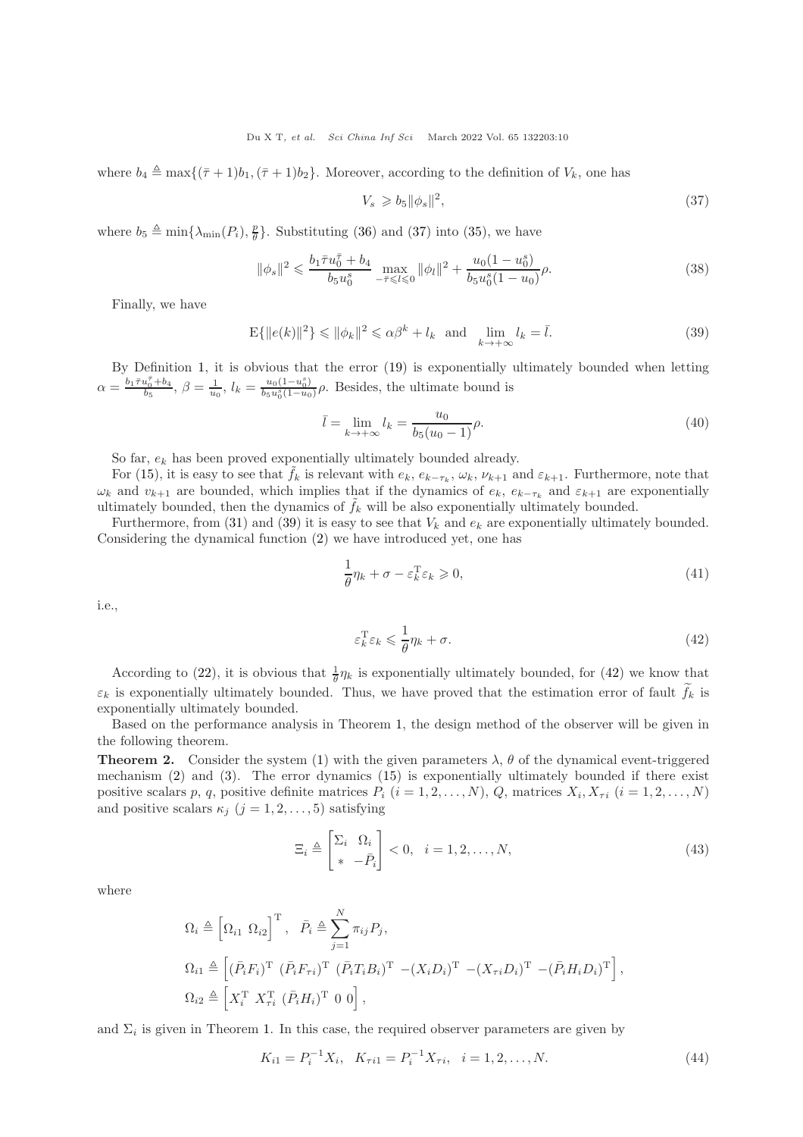where  $b_4 \triangleq \max\{(\bar{\tau}+1)b_1,(\bar{\tau}+1)b_2\}$ . Moreover, according to the definition of  $V_k$ , one has

<span id="page-9-1"></span><span id="page-9-0"></span>
$$
V_s \geqslant b_5 \|\phi_s\|^2,\tag{37}
$$

where  $b_5 \triangleq \min\{\lambda_{\min}(P_i), \frac{p}{\theta}\}\$ . Substituting [\(36\)](#page-8-2) and [\(37\)](#page-9-0) into [\(35\)](#page-8-3), we have

$$
\|\phi_s\|^2 \leqslant \frac{b_1 \bar{\tau} u_0^{\bar{\tau}} + b_4}{b_5 u_0^s} \max_{-\bar{\tau} \leqslant l \leqslant 0} \|\phi_l\|^2 + \frac{u_0 (1 - u_0^s)}{b_5 u_0^s (1 - u_0)} \rho. \tag{38}
$$

Finally, we have

$$
\mathbf{E}\{\|e(k)\|^2\} \le \|\phi_k\|^2 \le \alpha\beta^k + l_k \quad \text{and} \quad \lim_{k \to +\infty} l_k = \bar{l}.\tag{39}
$$

By Definition [1,](#page-4-3) it is obvious that the error [\(19\)](#page-5-1) is exponentially ultimately bounded when letting  $\alpha = \frac{b_1 \bar{\tau} u_0^{\bar{\tau}} + b_4}{b_5}, \, \beta = \frac{1}{u_0}, \, l_k = \frac{u_0 (1 - u_0^s)}{b_5 u_0^s (1 - u_0^s)}$  $\frac{u_0(1-u_0)}{b_5u_0^s(1-u_0)}\rho$ . Besides, the ultimate bound is

$$
\bar{l} = \lim_{k \to +\infty} l_k = \frac{u_0}{b_5(u_0 - 1)} \rho.
$$
\n(40)

So far,  $e_k$  has been proved exponentially ultimately bounded already.

For [\(15\)](#page-4-2), it is easy to see that  $\tilde{f}_k$  is relevant with  $e_k$ ,  $e_{k-\tau_k}$ ,  $\omega_k$ ,  $\nu_{k+1}$  and  $\varepsilon_{k+1}$ . Furthermore, note that  $\omega_k$  and  $v_{k+1}$  are bounded, which implies that if the dynamics of  $e_k$ ,  $e_{k-\tau_k}$  and  $\varepsilon_{k+1}$  are exponentially ultimately bounded, then the dynamics of  $f_k$  will be also exponentially ultimately bounded.

Furthermore, from [\(31\)](#page-8-4) and [\(39\)](#page-9-1) it is easy to see that  $V_k$  and  $e_k$  are exponentially ultimately bounded. Considering the dynamical function [\(2\)](#page-2-0) we have introduced yet, one has

$$
\frac{1}{\theta}\eta_k + \sigma - \varepsilon_k^{\mathrm{T}}\varepsilon_k \ge 0,\tag{41}
$$

i.e.,

<span id="page-9-2"></span>
$$
\varepsilon_k^{\mathrm{T}} \varepsilon_k \leqslant \frac{1}{\theta} \eta_k + \sigma. \tag{42}
$$

According to [\(22\)](#page-6-1), it is obvious that  $\frac{1}{\theta} \eta_k$  is exponentially ultimately bounded, for [\(42\)](#page-9-2) we know that  $\varepsilon_k$  is exponentially ultimately bounded. Thus, we have proved that the estimation error of fault  $f_k$  is exponentially ultimately bounded.

Based on the performance analysis in Theorem [1,](#page-5-2) the design method of the observer will be given in the following theorem.

<span id="page-9-4"></span>**Theorem 2.** Consider the system [\(1\)](#page-1-0) with the given parameters  $\lambda$ ,  $\theta$  of the dynamical event-triggered mechanism [\(2\)](#page-2-0) and [\(3\)](#page-2-1). The error dynamics [\(15\)](#page-4-2) is exponentially ultimately bounded if there exist positive scalars p, q, positive definite matrices  $P_i$   $(i = 1, 2, ..., N)$ , Q, matrices  $X_i, X_{\tau i}$   $(i = 1, 2, ..., N)$ and positive scalars  $\kappa_j$   $(j = 1, 2, \ldots, 5)$  satisfying

<span id="page-9-3"></span>
$$
\Xi_i \triangleq \begin{bmatrix} \Sigma_i & \Omega_i \\ * & -\bar{P}_i \end{bmatrix} < 0, \quad i = 1, 2, \dots, N,\tag{43}
$$

where

$$
\Omega_i \triangleq \left[\Omega_{i1} \ \Omega_{i2}\right]^{\mathrm{T}}, \ \ \bar{P}_i \triangleq \sum_{j=1}^N \pi_{ij} P_j,
$$
\n
$$
\Omega_{i1} \triangleq \left[ (\bar{P}_i F_i)^{\mathrm{T}} \ (\bar{P}_i F_{\tau i})^{\mathrm{T}} \ (\bar{P}_i T_i B_i)^{\mathrm{T}} - (X_i D_i)^{\mathrm{T}} \ - (\bar{P}_i H_i D_i)^{\mathrm{T}} \right],
$$
\n
$$
\Omega_{i2} \triangleq \left[ X_i^{\mathrm{T}} \ X_{\tau i}^{\mathrm{T}} \ (\bar{P}_i H_i)^{\mathrm{T}} \ 0 \ 0 \right],
$$

and  $\Sigma_i$  is given in Theorem [1.](#page-5-2) In this case, the required observer parameters are given by

$$
K_{i1} = P_i^{-1} X_i, \quad K_{\tau i1} = P_i^{-1} X_{\tau i}, \quad i = 1, 2, \dots, N. \tag{44}
$$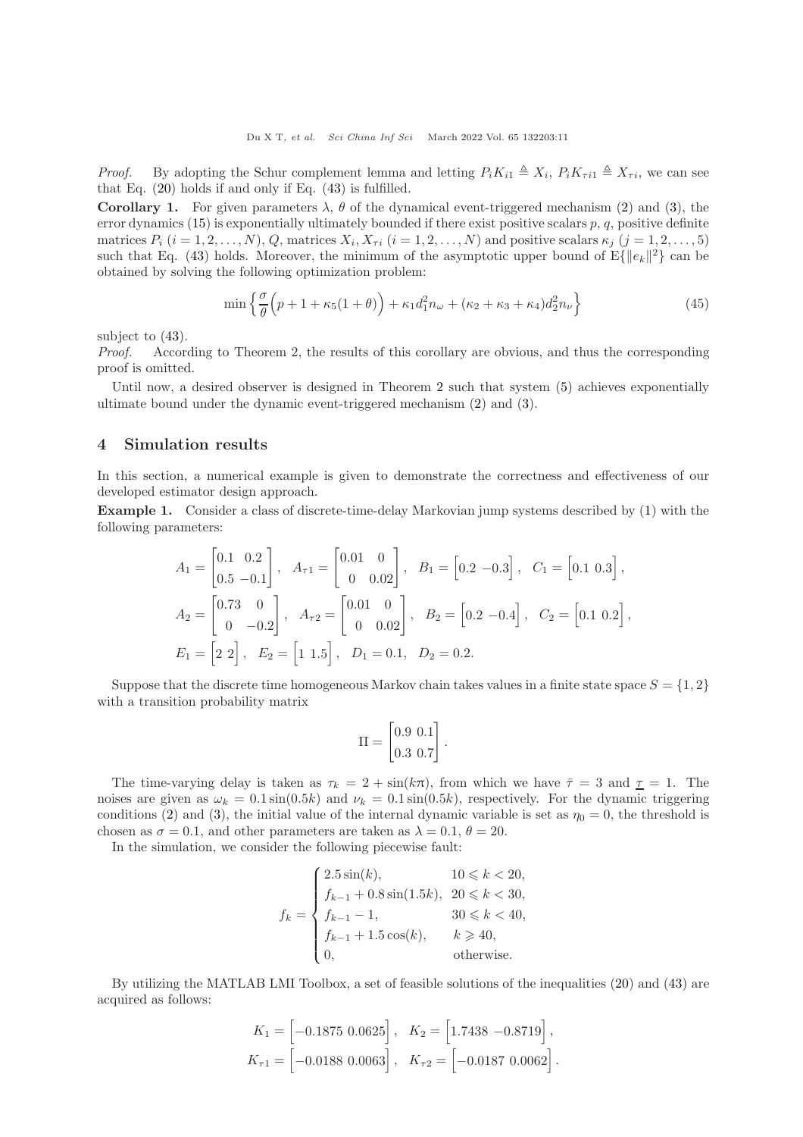*Proof.* By adopting the Schur complement lemma and letting  $P_i K_{i1} \triangleq X_i$ ,  $P_i K_{\tau i1} \triangleq X_{\tau i}$ , we can see that Eq. [\(20\)](#page-5-0) holds if and only if Eq. [\(43\)](#page-9-3) is fulfilled.

Corollary 1. For given parameters  $\lambda$ ,  $\theta$  of the dynamical event-triggered mechanism [\(2\)](#page-2-0) and [\(3\)](#page-2-1), the error dynamics [\(15\)](#page-4-2) is exponentially ultimately bounded if there exist positive scalars  $p$ ,  $q$ , positive definite matrices  $P_i$   $(i = 1, 2, ..., N), Q$ , matrices  $X_i, X_{\tau i}$   $(i = 1, 2, ..., N)$  and positive scalars  $\kappa_j$   $(j = 1, 2, ..., 5)$ such that Eq. [\(43\)](#page-9-3) holds. Moreover, the minimum of the asymptotic upper bound of  $E\{\|e_k\|^2\}$  can be obtained by solving the following optimization problem:

$$
\min\left\{\frac{\sigma}{\theta}\left(p+1+\kappa_5(1+\theta)\right)+\kappa_1d_1^2n_\omega+(\kappa_2+\kappa_3+\kappa_4)d_2^2n_\nu\right\}\tag{45}
$$

subject to [\(43\)](#page-9-3).

Proof. According to Theorem 2, the results of this corollary are obvious, and thus the corresponding proof is omitted.

Until now, a desired observer is designed in Theorem [2](#page-9-4) such that system [\(5\)](#page-3-0) achieves exponentially ultimate bound under the dynamic event-triggered mechanism [\(2\)](#page-2-0) and [\(3\)](#page-2-1).

#### 4 Simulation results

In this section, a numerical example is given to demonstrate the correctness and effectiveness of our developed estimator design approach.

Example 1. Consider a class of discrete-time-delay Markovian jump systems described by [\(1\)](#page-1-0) with the following parameters:

$$
A_1 = \begin{bmatrix} 0.1 & 0.2 \\ 0.5 & -0.1 \end{bmatrix}, \quad A_{\tau 1} = \begin{bmatrix} 0.01 & 0 \\ 0 & 0.02 \end{bmatrix}, \quad B_1 = \begin{bmatrix} 0.2 & -0.3 \end{bmatrix}, \quad C_1 = \begin{bmatrix} 0.1 & 0.3 \end{bmatrix},
$$
  
\n
$$
A_2 = \begin{bmatrix} 0.73 & 0 \\ 0 & -0.2 \end{bmatrix}, \quad A_{\tau 2} = \begin{bmatrix} 0.01 & 0 \\ 0 & 0.02 \end{bmatrix}, \quad B_2 = \begin{bmatrix} 0.2 & -0.4 \end{bmatrix}, \quad C_2 = \begin{bmatrix} 0.1 & 0.2 \end{bmatrix},
$$
  
\n
$$
E_1 = \begin{bmatrix} 2 & 2 \end{bmatrix}, \quad E_2 = \begin{bmatrix} 1 & 1.5 \end{bmatrix}, \quad D_1 = 0.1, \quad D_2 = 0.2.
$$

Suppose that the discrete time homogeneous Markov chain takes values in a finite state space  $S = \{1, 2\}$ with a transition probability matrix

$$
\Pi = \begin{bmatrix} 0.9 & 0.1 \\ 0.3 & 0.7 \end{bmatrix}.
$$

The time-varying delay is taken as  $\tau_k = 2 + \sin(k\pi)$ , from which we have  $\bar{\tau} = 3$  and  $\underline{\tau} = 1$ . The noises are given as  $\omega_k = 0.1 \sin(0.5k)$  and  $\nu_k = 0.1 \sin(0.5k)$ , respectively. For the dynamic triggering conditions [\(2\)](#page-2-0) and [\(3\)](#page-2-1), the initial value of the internal dynamic variable is set as  $\eta_0 = 0$ , the threshold is chosen as  $\sigma = 0.1$ , and other parameters are taken as  $\lambda = 0.1$ ,  $\theta = 20$ .

In the simulation, we consider the following piecewise fault:

$$
f_k = \begin{cases} 2.5\sin(k), & 10 \leq k < 20, \\ f_{k-1} + 0.8\sin(1.5k), & 20 \leq k < 30, \\ f_{k-1} - 1, & 30 \leq k < 40, \\ f_{k-1} + 1.5\cos(k), & k \geqslant 40, \\ 0, & \text{otherwise.} \end{cases}
$$

By utilizing the MATLAB LMI Toolbox, a set of feasible solutions of the inequalities [\(20\)](#page-5-0) and [\(43\)](#page-9-3) are acquired as follows:

$$
K_1 = \begin{bmatrix} -0.1875 & 0.0625 \end{bmatrix}, \quad K_2 = \begin{bmatrix} 1.7438 & -0.8719 \end{bmatrix},
$$
  

$$
K_{\tau 1} = \begin{bmatrix} -0.0188 & 0.0063 \end{bmatrix}, \quad K_{\tau 2} = \begin{bmatrix} -0.0187 & 0.0062 \end{bmatrix}.
$$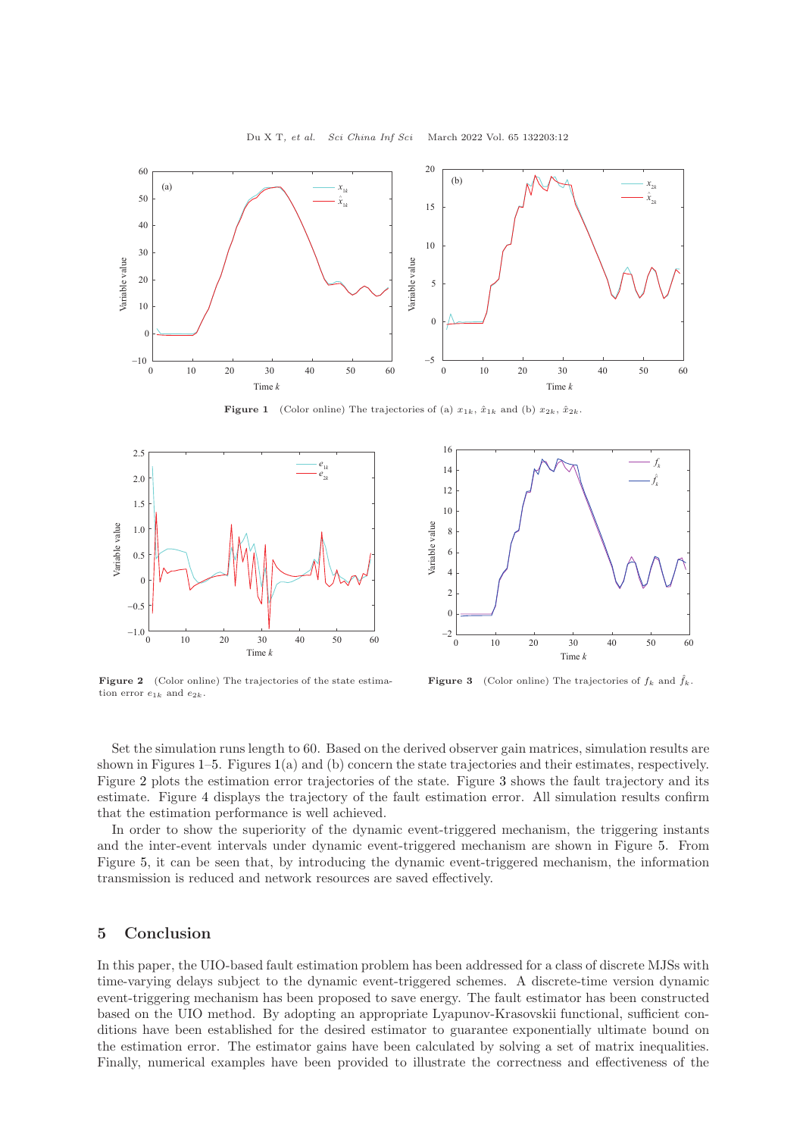<span id="page-11-0"></span>

**Figure 1** (Color online) The trajectories of (a)  $x_{1k}$ ,  $\hat{x}_{1k}$  and (b)  $x_{2k}$ ,  $\hat{x}_{2k}$ .

<span id="page-11-1"></span>



Figure 2 (Color online) The trajectories of the state estimation error  $e_{1k}$  and  $e_{2k}$ .

**Figure 3** (Color online) The trajectories of  $f_k$  and  $\hat{f}_k$ .

Set the simulation runs length to 60. Based on the derived observer gain matrices, simulation results are shown in Figures [1–](#page-11-0)[5.](#page-12-10) Figures [1\(](#page-11-0)a) and (b) concern the state trajectories and their estimates, respectively. Figure [2](#page-11-1) plots the estimation error trajectories of the state. Figure [3](#page-11-1) shows the fault trajectory and its estimate. Figure [4](#page-12-10) displays the trajectory of the fault estimation error. All simulation results confirm that the estimation performance is well achieved.

In order to show the superiority of the dynamic event-triggered mechanism, the triggering instants and the inter-event intervals under dynamic event-triggered mechanism are shown in Figure [5.](#page-12-10) From Figure [5,](#page-12-10) it can be seen that, by introducing the dynamic event-triggered mechanism, the information transmission is reduced and network resources are saved effectively.

#### 5 Conclusion

In this paper, the UIO-based fault estimation problem has been addressed for a class of discrete MJSs with time-varying delays subject to the dynamic event-triggered schemes. A discrete-time version dynamic event-triggering mechanism has been proposed to save energy. The fault estimator has been constructed based on the UIO method. By adopting an appropriate Lyapunov-Krasovskii functional, sufficient conditions have been established for the desired estimator to guarantee exponentially ultimate bound on the estimation error. The estimator gains have been calculated by solving a set of matrix inequalities. Finally, numerical examples have been provided to illustrate the correctness and effectiveness of the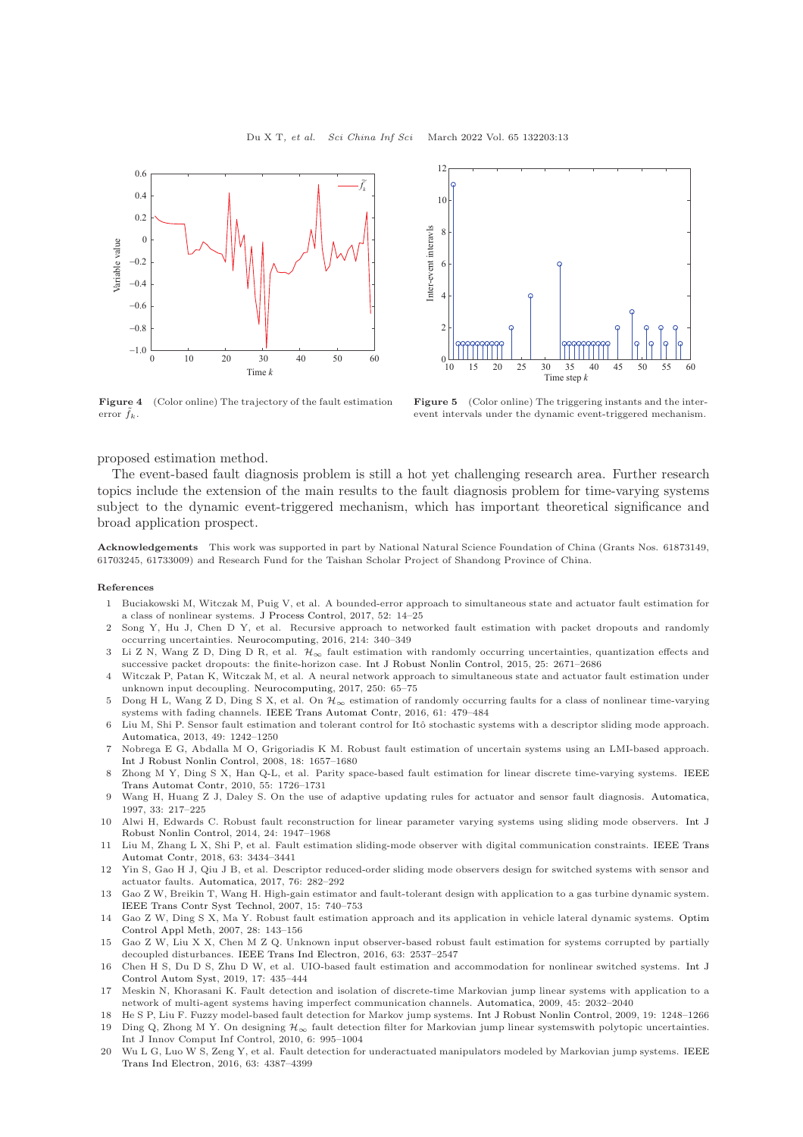<span id="page-12-10"></span>



Figure 4 (Color online) The trajectory of the fault estimation error  $\tilde{f}_k$ .

Figure 5 (Color online) The triggering instants and the interevent intervals under the dynamic event-triggered mechanism.

proposed estimation method.

The event-based fault diagnosis problem is still a hot yet challenging research area. Further research topics include the extension of the main results to the fault diagnosis problem for time-varying systems subject to the dynamic event-triggered mechanism, which has important theoretical significance and broad application prospect.

Acknowledgements This work was supported in part by National Natural Science Foundation of China (Grants Nos. 61873149, 61703245, 61733009) and Research Fund for the Taishan Scholar Project of Shandong Province of China.

#### <span id="page-12-0"></span>References

- 1 Buciakowski M, Witczak M, Puig V, et al. A bounded-error approach to simultaneous state and actuator fault estimation for a class of nonlinear systems. [J Process Control,](https://doi.org/10.1016/j.jprocont.2017.01.002) 2017, 52: 14–25
- 2 Song Y, Hu J, Chen D Y, et al. Recursive approach to networked fault estimation with packet dropouts and randomly occurring uncertainties. [Neurocomputing,](https://doi.org/10.1016/j.neucom.2016.06.016) 2016, 214: 340–349
- 3 Li Z N, Wang Z D, Ding D R, et al.  $\mathcal{H}_{\infty}$  fault estimation with randomly occurring uncertainties, quantization effects and successive packet dropouts: the finite-horizon case. [Int J Robust Nonlin Control,](https://doi.org/10.1002/rnc.3221) 2015, 25: 2671–2686
- 4 Witczak P, Patan K, Witczak M, et al. A neural network approach to simultaneous state and actuator fault estimation under unknown input decoupling. [Neurocomputing,](https://doi.org/10.1016/j.neucom.2016.10.076) 2017, 250: 65–75
- 5 Dong H L, Wang Z D, Ding S X, et al. On  $\mathcal{H}_{\infty}$  estimation of randomly occurring faults for a class of nonlinear time-varying systems with fading channels. [IEEE Trans Automat Contr,](https://doi.org/10.1109/TAC.2015.2437526) 2016, 61: 479–484
- 6 Liu M, Shi P. Sensor fault estimation and tolerant control for Itˆo stochastic systems with a descriptor sliding mode approach. [Automatica,](https://doi.org/10.1016/j.automatica.2013.01.030) 2013, 49: 1242–1250
- 7 Nobrega E G, Abdalla M O, Grigoriadis K M. Robust fault estimation of uncertain systems using an LMI-based approach. [Int J Robust Nonlin Control,](https://doi.org/10.1002/rnc.1313) 2008, 18: 1657–1680
- <span id="page-12-1"></span>8 Zhong M Y, Ding S [X, Han Q-L, et al. Parity space-based fault estimation for linear discrete time-varying systems.](https://doi.org/10.1109/TAC.2010.2047672) IEEE Trans Automat Contr, 2010, 55: 1726–1731
- <span id="page-12-2"></span>9 Wang H, Huang Z J, Daley S. On the use of adaptive updating rules for actuator and sensor fault diagnosis. [Automatica,](https://doi.org/10.1016/S0005-1098(96)00155-0) 1997, 33: 217–225
- <span id="page-12-3"></span>10 Alwi H, Edwards C. Robust fault reconstruction for linear [parameter varying systems using sliding mode observers.](https://doi.org/10.1002/rnc.3009) Int J Robust Nonlin Control, 2014, 24: 1947–1968
- 11 Liu M, Zhang [L X, Shi P, et al. Fault estimation sliding-mode observer with digital communication constraints.](https://doi.org/10.1109/TAC.2018.2794826) IEEE Trans Automat Contr, 2018, 63: 3434–3441
- <span id="page-12-4"></span>12 Yin S, Gao H J, Qiu J B, et al. Descriptor reduced-order sliding mode observers design for switched systems with sensor and actuator faults. [Automatica,](https://doi.org/10.1016/j.automatica.2016.10.025) 2017, 76: 282–292
- <span id="page-12-5"></span>13 Gao Z W, Breikin T, Wang H. High-gain estimator and fault-tolerant design with application to a gas turbine dynamic system. [IEEE Trans Contr Syst Technol,](https://doi.org/10.1109/TCST.2006.890282) 2007, 15: 740–753
- <span id="page-12-6"></span>14 Gao Z W, Ding S X, Ma Y. Robust fault estimation approach and its application in vehicle lateral dynamic systems. Optim Control Appl Meth, 2007, 28: 143–156
- <span id="page-12-7"></span>15 Gao Z W, Liu X X, Chen M Z Q. Unknown input observer-based robust fault estimation for systems corrupted by partially decoupled disturbances. [IEEE Trans Ind Electron,](https://doi.org/10.1109/TIE.2015.2497201) 2016, 63: 2537–2547
- <span id="page-12-8"></span>16 Chen H S, Du D S, Zhu D W, et al. UIO-based fault estimation and accommodation for nonlinear switched systems. Int J Control Autom Syst, 2019, 17: 435–444
- <span id="page-12-9"></span>17 Meskin N, Khorasani K. Fault detection and isolation of discrete-time Markovian jump linear systems with application to a network of multi-agent systems having imperfect communication channels. [Automatica,](https://doi.org/10.1016/j.automatica.2009.04.020) 2009, 45: 2032–2040
- 18 He S P, Liu F. Fuzzy model-based fault detection for Markov jump systems. [Int J Robust Nonlin Control,](https://doi.org/10.1002/rnc.1380) 2009, 19: 1248–1266 19 Ding Q, Zhong M Y. On designing  $\mathcal{H}_{\infty}$  fault detection filter for Markovian jump linear systemswith polytopic uncertainties. Int J Innov Comput Inf Control, 2010, 6: 995–1004
- 20 Wu L G, Luo W S, [Zeng Y, et al. Fault detection for underactuated manipulators modeled by Markovian jump systems.](https://doi.org/10.1109/TIE.2016.2541087) IEEE Trans Ind Electron, 2016, 63: 4387–4399